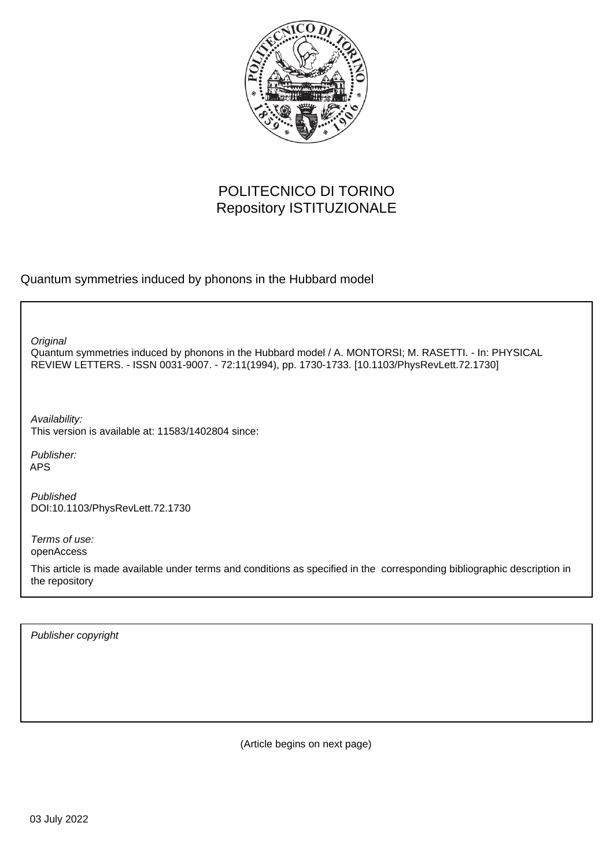

## POLITECNICO DI TORINO Repository ISTITUZIONALE

Quantum symmetries induced by phonons in the Hubbard model

**Original** 

Quantum symmetries induced by phonons in the Hubbard model / A. MONTORSI; M. RASETTI. - In: PHYSICAL REVIEW LETTERS. - ISSN 0031-9007. - 72:11(1994), pp. 1730-1733. [10.1103/PhysRevLett.72.1730]

Availability: This version is available at: 11583/1402804 since:

Publisher: APS

Published DOI:10.1103/PhysRevLett.72.1730

Terms of use: openAccess

This article is made available under terms and conditions as specified in the corresponding bibliographic description in the repository

Publisher copyright

(Article begins on next page)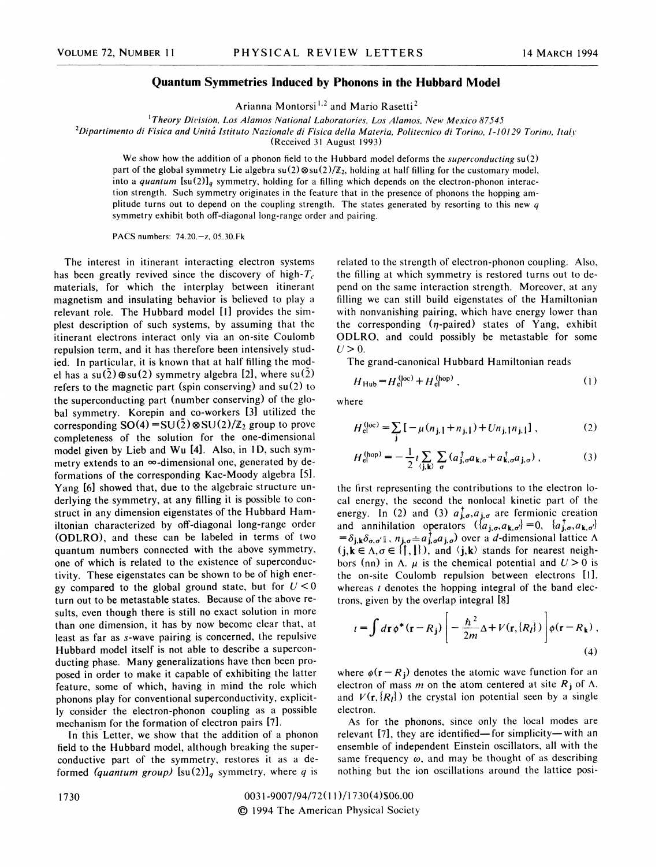## Quantum Symmetries Induced by Phonons in the Hubbard Model

Arianna Montorsi<sup>1,2</sup> and Mario Rasett

<sup>1</sup>Theory Division, Los Alamos National Laboratories, Los Alamos, New Mexico 87545

 ${}^{2}$ Dipartimento di Fisica and Unitá Istituto Nazionale di Fisica della Materia, Politecnico di Torino, I-10129 Torino, Italy

(Received 31 August 1993)

We show how the addition of a phonon field to the Hubbard model deforms the *superconducting*  $su(2)$ part of the global symmetry Lie algebra  $su(2) \otimes su(2)/\mathbb{Z}_2$ , holding at half filling for the customary model, into a quantum  $[su(2)]_q$  symmetry, holding for a filling which depends on the electron-phonon interaction strength. Such symmetry originates in the feature that in the presence of phonons the hopping amplitude turns out to depend on the coupling strength. The states generated by resorting to this new  $q$ symmetry exhibit both off-diagonal long-range order and pairing.

PACS numbers: 74.20.—z, 05.30.Fk

The interest in itinerant interacting electron systems has been greatly revived since the discovery of high- $T_c$ materials, for which the interplay between itinerant magnetism and insulating behavior is believed to play a relevant role. The Hubbard model [I] provides the simplest description of such systems, by assuming that the itinerant electrons interact only via an on-site Coulomb repulsion term, and it has therefore been intensively studied. In particular, it is known that at half filling the model has a su( $\tilde{2}$ )  $\oplus$  su(2) symmetry algebra [2], where su( $\tilde{2}$ ) refers to the magnetic part (spin conserving) and su(2) to the superconducting part (number conserving) of the global symmetry. Korepin and co-workers [3] utilized the corresponding  $SO(4) = SU(2) \otimes SU(2)/\mathbb{Z}_2$  group to prove completeness of the solution for the one-dimensional model given by Lieb and Wu [4]. Also, in ID, such symmetry extends to an  $\infty$ -dimensional one, generated by deformations of the corresponding Kac-Moody algebra [5]. Yang [6] showed that, due to the algebraic structure underlying the symmetry, at any filling it is possible to construct in any dimension eigenstates of the Hubbard Hamiltonian characterized by off-diagonal long-range order (ODLRO), and these can be labeled in terms of two quantum numbers connected with the above symmetry, one of which is related to the existence of superconductivity. These eigenstates can be shown to be of high energy compared to the global ground state, but for  $U < 0$ turn out to be metastable states. Because of the above results, even though there is still no exact solution in more than one dimension, it has by now become clear that, at least as far as s-wave pairing is concerned, the repulsive Hubbard model itself is not able to describe a superconducting phase. Many generalizations have then been proposed in order to make it capable of exhibiting the latter feature, some of which, having in mind the role which phonons play for conventional superconductivity, explicitly consider the electron-phonon coupling as a possible mechanism for the formation of electron pairs [7].

In this Letter, we show that the addition of a phonon field to the Hubbard model, although breaking the superconductive part of the symmetry, restores it as a deformed (quantum group)  $\left[\text{su}(2)\right]_q$  symmetry, where q is

related to the strength of electron-phonon coupling. Also, the filling at which symmetry is restored turns out to depend on the same interaction strength. Moreover, at any filling we can still build eigenstates of the Hamiltonian with nonvanishing pairing, which have energy lower than the corresponding  $(\eta$ -paired) states of Yang, exhibit ODLRO, and could possibly be metastable for some  $U > 0$ .

The grand-canonical Hubbard Hamiltonian reads

$$
H_{\text{Hub}} = H_{\text{el}}^{(\text{loc})} + H_{\text{el}}^{(\text{hop})}, \qquad (1)
$$

where

$$
H_{\rm el}^{(\rm loc)} = \sum_{\mathbf{j}} \left[ -\mu (n_{\mathbf{j},\mathbf{l}} + n_{\mathbf{j},\mathbf{l}}) + U n_{\mathbf{j},\mathbf{l}} n_{\mathbf{j},\mathbf{l}} \right],\tag{2}
$$

$$
H_{\rm el}^{\rm (hop)} = -\frac{1}{2} t \sum_{\langle \mathbf{j}, \mathbf{k} \rangle} \sum_{\sigma} \left( a_{\mathbf{j}, \sigma}^{\dagger} a_{\mathbf{k}, \sigma} + a_{\mathbf{k}, \sigma}^{\dagger} a_{\mathbf{j}, \sigma} \right), \tag{3}
$$

the first representing the contributions to the electron local energy, the second the nonlocal kinetic part of the energy. In (2) and (3)  $a_{j,\sigma}^{\dagger}, a_{j,\sigma}$  are fermionic creation and annihilation operators  $(\{a_{j,\sigma}, a_{k,\sigma'}\}=0, \{a_{j,\sigma}, a_{k,\sigma'}\}=0)$  $=\delta_{j,k}\delta_{\sigma,\sigma'1}$ ,  $n_{j,\sigma}=a_{j,\sigma}^{\dagger}a_{j,\sigma}$  over a d-dimensional lattice  $\Lambda$  $(j,k \in \Lambda, \sigma \in \{\parallel, \parallel\})$ , and  $\langle j,k \rangle$  stands for nearest neighbors (nn) in  $\Lambda$ .  $\mu$  is the chemical potential and  $U > 0$  is the on-site Coulomb repulsion between electrons [1], whereas  $t$  denotes the hopping integral of the band electrons, given by the overlap integral [8]

$$
t = \int d\mathbf{r} \, \phi^*(\mathbf{r} - R_{\mathbf{j}}) \left[ -\frac{\hbar^2}{2m} \Delta + V(\mathbf{r}, \{R_{\mathbf{l}}\}) \right] \phi(\mathbf{r} - R_{\mathbf{k}}) \,,
$$
\n(4)

where  $\phi(r - R_i)$  denotes the atomic wave function for an electron of mass m on the atom centered at site  $R_j$  of  $\Lambda$ , and  $V(r, \{R_l\})$  the crystal ion potential seen by a single electron.

As for the phonons, since only the local modes are relevant [7], they are identified—for simplicity—with an ensemble of independent Einstein oscillators, all with the same frequency  $\omega$ , and may be thought of as describing nothing but the ion oscillations around the lattice posi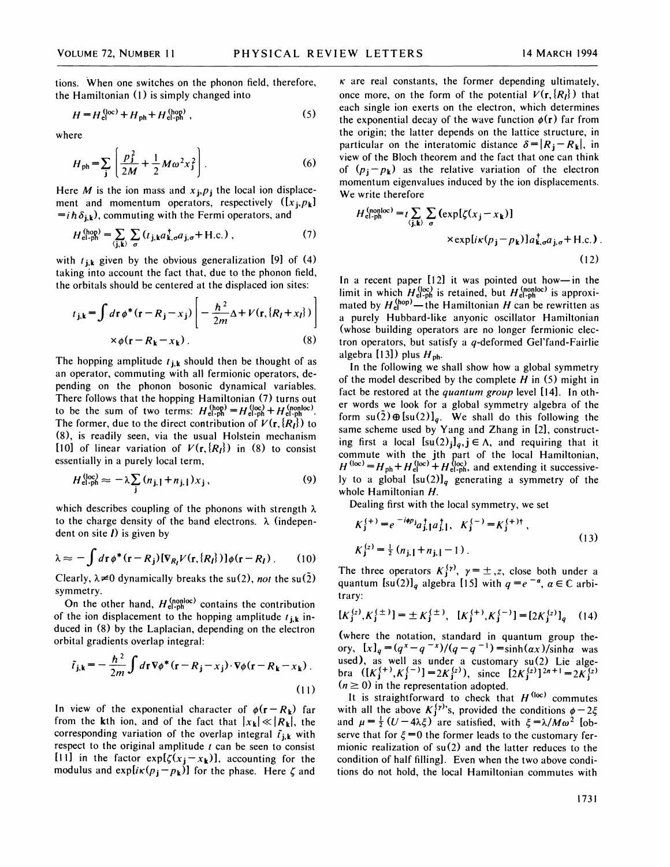tions. When one switches on the phonon field, therefore, the Hamiltonian (I) is simply changed into

$$
H = H_{\text{el}}^{(\text{loc})} + H_{\text{ph}} + H_{\text{el-ph}}^{(\text{hop})}, \qquad (5)
$$

where

$$
H_{\rm ph} = \sum_{\bf j} \left( \frac{p_{\bf j}^2}{2M} + \frac{1}{2} M \omega^2 x_{\bf j}^2 \right). \tag{6}
$$

Here *M* is the ion mass and  $x_j$ ,  $p_j$  the local ion displacement and momentum operators, respectively  $([x_j, p_k])$  $=i \hbar \delta_{j,k}$ , commuting with the Fermi operators, and

$$
H_{\text{el-ph}}^{(\text{hop})} = \sum_{\langle \mathbf{j}, \mathbf{k} \rangle} \sum_{\sigma} (t_{\mathbf{j}, \mathbf{k}} a_{\mathbf{k}, \sigma}^{\dagger} a_{\mathbf{j}, \sigma} + \text{H.c.}) \tag{7}
$$

with  $t_{j,k}$  given by the obvious generalization [9] of (4) taking into account the fact that, due to the phonon field, the orbitals should be centered at the displaced ion sites:

$$
t_{\mathbf{j},\mathbf{k}} = \int d\mathbf{r} \,\phi^*(\mathbf{r} - R_{\mathbf{j}} - x_{\mathbf{j}}) \left[ -\frac{\hbar^2}{2m} \Delta + V(\mathbf{r}, \{R_{\mathbf{l}} + x_{\mathbf{l}}\}) \right]
$$

$$
\times \phi(\mathbf{r} - R_{\mathbf{k}} - x_{\mathbf{k}}) . \tag{8}
$$

The hopping amplitude  $t_{j,k}$  should then be thought of as an operator, commuting with all fermionic operators, depending on the phonon bosonic dynamical variables. There follows that the hopping Hamiltonian (7) turns out to be the sum of two terms:  $H_{el-ph}^{(hop)} = H_{el-ph}^{(loc)} + H_{el-ph}^{(nonloc)}$ . The former, due to the direct contribution of  $V(\mathbf{r}, \{R_t\})$  to (8), is readily seen, via the usual Holstein mechanism [10] of linear variation of  $V(r, {R<sub>l</sub>}$ ) in (8) to consist essentially in a purely local term,

$$
H_{\text{el-ph}}^{(\text{loc})} \approx -\lambda \sum_{j} \left( n_{j, \parallel} + n_{j, \parallel} \right) x_j \,, \tag{9}
$$

which describes coupling of the phonons with strength  $\lambda$ to the charge density of the band electrons.  $\lambda$  (independent on site *) is given by* 

$$
\lambda \approx -\int d\mathbf{r} \phi^*(\mathbf{r} - R_j) [\nabla_{R_l} V(\mathbf{r}, \{R_l\})] \phi(\mathbf{r} - R_l). \tag{10}
$$

Clearly,  $\lambda \neq 0$  dynamically breaks the su(2), not the su(2) symmetry.

On the other hand,  $H_{el-ph}^{(nonloc)}$  contains the contribution of the ion displacement to the hopping amplitude  $t_{j,k}$  induced in (8) by the Laplacian, depending on the electron orbital gradients overlap integral:

$$
\tilde{t}_{\mathbf{j},\mathbf{k}} = -\frac{\hbar^2}{2m} \int d\mathbf{r} \nabla \phi^* (\mathbf{r} - R_{\mathbf{j}} - x_{\mathbf{j}}) \cdot \nabla \phi (\mathbf{r} - R_{\mathbf{k}} - x_{\mathbf{k}}) \,. \tag{11}
$$

In view of the exponential character of  $\phi(r - R_k)$  far from the kth ion, and of the fact that  $|x_k| \ll |R_k|$ , the corresponding variation of the overlap integral  $\tilde{t}_{i,k}$  with respect to the original amplitude  $t$  can be seen to consist [11] in the factor  $exp[\zeta(x_j - x_k)]$ , accounting for the modulus and expli $\kappa(p_j - p_k)$ ] for the phase. Here  $\zeta$  and

 $\kappa$  are real constants, the former depending ultimately, once more, on the form of the potential  $V(r, \{R_l\})$  that each single ion exerts on the electron, which determines the exponential decay of the wave function  $\phi(\mathbf{r})$  far from the origin; the latter depends on the lattice structure, in particular on the interatomic distance  $\delta = |R_{\mathbf{j}} - R_{\mathbf{k}}|$ , in view of the Bloch theorem and the fact that one can think of  $(p_i - p_k)$  as the relative variation of the electron momentum eigenvalues induced by the ion displacements. We write therefore

$$
H_{\text{el-ph}}^{(\text{nonloc})} = t \sum_{\langle \mathbf{j}, \mathbf{k} \rangle} \sum_{\sigma} \left( \exp[\zeta(x_{\mathbf{j}} - x_{\mathbf{k}})] \right)
$$
  
× $\exp[i\kappa(p_{\mathbf{j}} - p_{\mathbf{k}})] a_{\mathbf{k},\sigma}^{\dagger} a_{\mathbf{j},\sigma} + \text{H.c.} \right)$ . (12)

In <sup>a</sup> recent paper [12] it was pointed out how—in the limit in which  $H_{el-ph}^{(loc)}$  is retained, but  $H_{el-ph}^{(nonloc)}$  is approximated by  $H_{el}^{(hop)}$  — the Hamiltonian H can be rewritten as a purely Hubbard-like anyonic oscillator Hamiltonian (whose building operators are no longer fermionic electron operators, but satisfy a  $q$ -deformed Gel'fand-Fairlie algebra [13]) plus  $H_{\text{ph}}$ .

In the following we shall show how a global symmetry of the model described by the complete  $H$  in (5) might in fact be restored at the quantum group level [14]. In other words we look for a global symmetry algebra of the form  $su(2)\oplus [su(2)]_q$ . We shall do this following the same scheme used by Yang and Zhang in [2], constructing first a local  $[su(2)<sub>i</sub>]_q$ ,  $j \in \Lambda$ , and requiring that it commute with the jth part of the local Hamiltonia  $=H_{ph}+H_{el}^{(loc)}+H_{el-ph}^{(loc)}$ , and extending it successive ly to a global  $[su(2)]_q$  generating a symmetry of the whole Hamiltonian H.

Dealing first with the local symmetry, we set

$$
K_j^{(+)} = e^{-i\phi p_j} a_{j,1}^{\dagger} a_{j,1}^{\dagger}, \quad K_j^{(-)} = K_j^{(+)\dagger},
$$
  
\n
$$
K_j^{(z)} = \frac{1}{2} (n_{j,1} + n_{j,1} - 1).
$$
\n(13)

The three operators  $K_j^{(\gamma)}$ ,  $\gamma = \pm z$ , close both under a quantum  $[su(2)]_q$  algebra [15] with  $q = e^{-a}$ ,  $a \in \mathbb{C}$  arbitrary:

$$
[K_j^{(z)}, K_j^{(\pm)}] = \pm K_j^{(\pm)}, \ \ [K_j^{(+)}, K_j^{(-)}] = [2K_j^{(z)}]_q \tag{14}
$$

(where the notation, standard in quantum group theory,  $[x]_q = (q^x - q^{-x})/(q - q^{-1}) = \sinh(\alpha x)/\sinh \alpha$  was used), as well as under a customary su(2) Lie alge-<br>bra  $([K_j^{(+)}, K_j^{(-)}] = 2K_j^{(z)}$ , since  $[2K_j^{(z)}]^{2n+1} = 2K_j^{(z)}$  $(n \ge 0)$  in the representation adopted.

It is straightforward to check that  $H^{(\text{loc})}$  commute with all the above  $K_j^{(\gamma)}$ 's, provided the conditions  $\phi - 2\xi$ and  $\mu = \frac{1}{2}(U - 4\lambda \xi)$  are satisfied, with  $\xi = \lambda / M \omega^2$  [observe that for  $\xi = 0$  the former leads to the customary fermionic realization of su(2) and the latter reduces to the condition of half filling]. Even when the two above conditions do not hold, the local Hamiltonian commutes with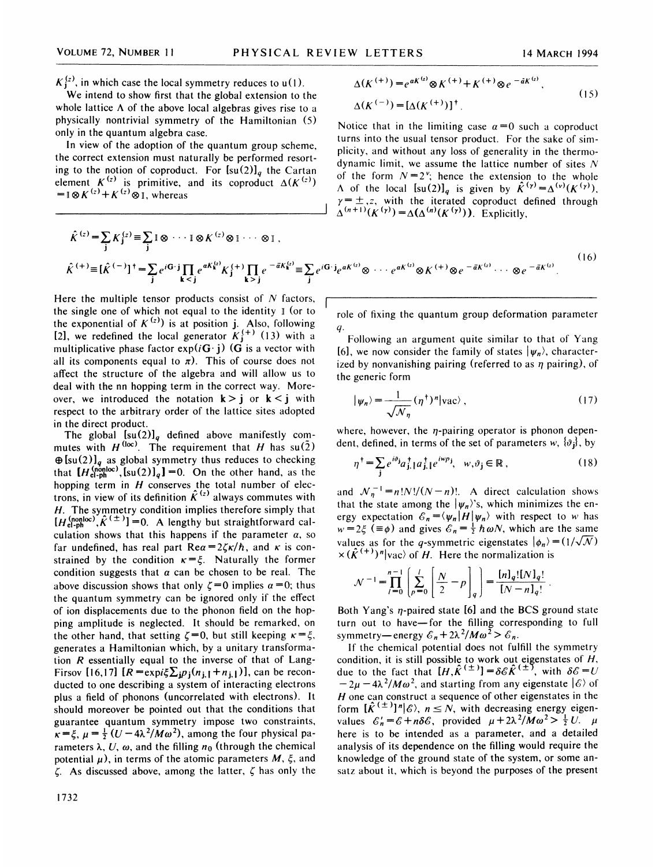$K_1^{(z)}$ , in which case the local symmetry reduces to  $u(1)$ .

We intend to show first that the global extension to the whole lattice  $\Lambda$  of the above local algebras gives rise to a physically nontrivial symmetry of the Hamiltonian (5) only in the quantum algebra case.

In view of the adoption of the quantum group scheme, the correct extension must naturally be performed resorting to the notion of coproduct. For  $[su(2)]_q$  the Cartan element  $K^{(z)}$  is primitive, and its coproduct  $\Delta(K^{(z)})$ <br>=  $\log K^{(z)} + K^{(z)} \otimes I$ , whereas

 $\tau = \nu(r)$ 

$$
\Delta(K^{(+)}) = e^{aK^{(t)}} \otimes K^{(+)} + K^{(+)} \otimes e^{-\tilde{a}K^{(t)}},
$$
  
 
$$
\Delta(K^{(-)}) = [\Delta(K^{(+)})]^{\dagger}
$$
 (15)

Notice that in the limiting case  $\alpha=0$  such a coproduct turns into the usual tensor product. For the sake of simplicity, and without any loss of generality in the thermodynamic limit, we assume the lattice number of sites  $N$ of the form  $N=2^{\nu}$ ; hence the extension to the whole A of the local  $[su(2)]_q$  is given by  $\hat{K}^{(\gamma)} = \Delta^{(\nu)}(K^{(\gamma)})$ ,<br>  $\gamma = \pm$ ,z, with the iterated coproduct defined through<br>  $\Delta^{(n+1)}(K^{(\gamma)}) = \Delta(\Delta^{(n)}(K^{(\gamma)}))$ . Explicitly,

$$
\hat{K}^{(z)} = \sum_{\mathbf{j}} K_{\mathbf{j}}^{(z)} \equiv \sum_{\mathbf{j}} I \otimes \cdots I \otimes K^{(z)} \otimes I \cdots \otimes I ,
$$
\n
$$
\hat{K}^{(+)} \equiv [\hat{K}^{(-)}]^\dagger = \sum_{\mathbf{j}} e^{i\mathbf{G} \cdot \mathbf{j}} \prod_{\mathbf{k} < \mathbf{j}} e^{aK_{\mathbf{k}}^{(z)}} K_{\mathbf{j}}^{(+)} \prod_{\mathbf{k} > \mathbf{j}} e^{-\bar{a}K_{\mathbf{k}}^{(z)}} \equiv \sum_{\mathbf{j}} e^{i\mathbf{G} \cdot \mathbf{j}} e^{aK_{\mathbf{k}}^{(z)}} \otimes \cdots e^{aK_{\mathbf{k}}^{(z)}} \otimes K^{(+)} \otimes e^{-\bar{a}K_{\mathbf{k}}^{(z)}} \cdots \otimes e^{-\bar{a}K_{\mathbf{k}}^{(z)}} .
$$
\n(16)

Here the multiple tensor products consist of  $N$  factors, the single one of which not equal to the identity  $\mathbb{I}$  (or to the exponential of  $K^{(z)}$ ) is at position j. Also, following [2], we redefined the local generator  $K_j^{(+)}$  (13) with a multiplicative phase factor  $exp(iG \cdot j)$  (G is a vector with all its components equal to  $\pi$ ). This of course does not affect the structure of the algebra and will allow us to deal with the nn hopping term in the correct way. Moreover, we introduced the notation  $k > j$  or  $k < j$  with respect to the arbitrary order of the lattice sites adopted in the direct product.

The global  $[su(2)]_q$  defined above manifestly commutes with  $H^{(\text{loc})}$ . The requirement that H has su $(\tilde{2})$  $\bigoplus$ [su(2)]<sub>q</sub> as global symmetry thus reduces to checking that  $[H_{el-ph}^{(nonloc)}$ ,  $[su(2)]_q$ ] =0. On the other hand, as the hopping term in  $H$  conserves the total number of electrons, in view of its definition  $K^{(z)}$  always commutes with H. The symmetry condition implies therefore simply that  $[H_{el-ph}^{(nonloc)}, \hat{K}^{(\pm)}] = 0$ . A lengthy but straightforward calculation shows that this happens if the parameter  $\alpha$ , so far undefined, has real part  $\text{Re}\alpha = 2\zeta\kappa/\hbar$ , and  $\kappa$  is constrained by the condition  $\kappa = \xi$ . Naturally the former condition suggests that  $\alpha$  can be chosen to be real. The above discussion shows that only  $\zeta = 0$  implies  $\alpha = 0$ ; thus the quantum symmetry can be ignored only if the effect of ion displacements due to the phonon field on the hopping amplitude is neglected. It should be remarked, on the other hand, that setting  $\zeta=0$ , but still keeping  $\kappa=\xi$ , generates a Hamiltonian which, by a unitary transformation  $R$  essentially equal to the inverse of that of Lang-Firsov [16,17]  $[R = \exp i\xi \sum_{i} p_i(n_{i,1} + n_{i,1})]$ , can be reconducted to one describing a system of interacting electrons plus a field of phonons (uncorrelated with electrons). It should moreover be pointed out that the conditions that guarantee quantum symmetry impose two constraints, guarantee quantum symmetry impose two constraints.<br> $\kappa = \xi$ ,  $\mu = \frac{1}{2} (U - 4\lambda^2 / M\omega^2)$ , among the four physical parameters  $\lambda$ , U,  $\omega$ , and the filling  $n_0$  (through the chemical potential  $\mu$ ), in terms of the atomic parameters M,  $\xi$ , and  $\zeta$ . As discussed above, among the latter,  $\zeta$  has only the role of fixing the quantum group deformation parameter  $q$ 

Following an argument quite similar to that of Yang [6], we now consider the family of states  $|\psi_n\rangle$ , characterized by nonvanishing pairing (referred to as  $\eta$  pairing), of the generic form

$$
\psi_n\rangle = \frac{1}{\sqrt{\mathcal{N}_n}} (\eta^{\dagger})^n |\text{vac}\rangle \,, \tag{17}
$$

where, however, the  $\eta$ -pairing operator is phonon dependent, defined, in terms of the set of parameters w,  $\{\vartheta_i\}$ , by

$$
\eta^{\dagger} = \sum_{j} e^{i\vartheta_{j}} a_{j,\,l}^{\dagger} a_{j,\,l}^{\dagger} e^{i\omega p_{j}}, \quad w, \vartheta_{j} \in \mathbb{R} \,, \tag{18}
$$

and  $\mathcal{N}_\eta^{-1} = n!N!/(N-n)!$ . A direct calculation shows that the state among the  $|\psi_n\rangle$ 's, which minimizes the energy expectation  $\mathcal{E}_n = \langle \psi_n | H | \psi_n \rangle$  with respect to w has  $w = 2\xi$  ( $\equiv \phi$ ) and gives  $\mathcal{E}_n = \frac{1}{2} \hbar \omega N$ , which are the same values as for the q-symmetric eigenstates  $|\phi_n\rangle = (1/\sqrt{\mathcal{N}})$  $\times (\hat{K}^{(+)})^n |\text{vac}\rangle$  of H. Here the normalization is

$$
\mathcal{N}^{-1} = \prod_{l=0}^{n-1} \left[ \sum_{p=0}^{l} \left[ \frac{N}{2} - p \right]_q \right] = \frac{[n]_q! [N]_q!}{[N - n]_q!}.
$$

Both Yang's  $\eta$ -paired state [6] and the BCS ground state turn out to have-for the filling corresponding to full symmetry—energy  $\mathcal{E}_n + 2\lambda^2 / M\omega^2 > \mathcal{E}_n$ .

If the chemical potential does not fulfill the symmetry condition, it is still possible to work out eigenstates of H,<br>due to the fact that  $[H, \hat{K}^{(\pm)}] = \delta \mathcal{E} \hat{K}^{(\pm)}$ , with  $\delta \mathcal{E} = U - 2\mu - 4\lambda^2 / M\omega^2$ , and starting from any eigenstate  $|\mathcal{E}\rangle$  of  $H$  one can construct a sequence of other eigenstates in the form  $[\hat{K}^{(\pm)}]^{n}|\mathcal{E}\rangle$ ,  $n \leq N$ , with decreasing energy eigenvalues  $\mathcal{E}'_n = \mathcal{E} + n\delta\mathcal{E}$ , provided  $\mu + 2\lambda^2/M\omega^2 > \frac{1}{2}U$ .  $\mu$ here is to be intended as a parameter, and a detailed analysis of its dependence on the filling would require the knowledge of the ground state of the system, or some ansatz about it, which is beyond the purposes of the present